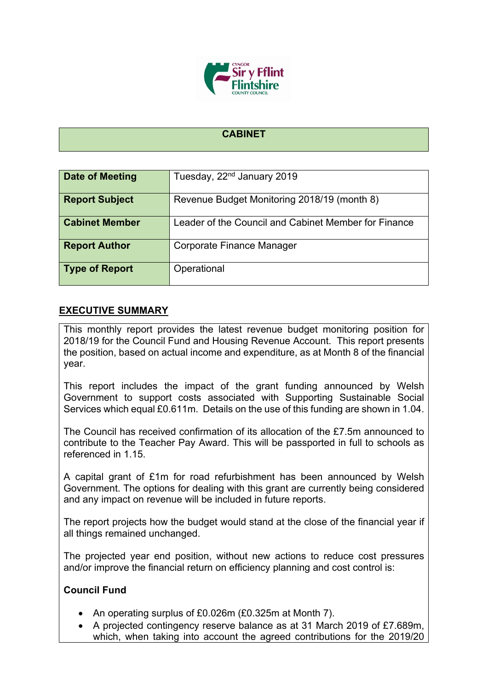

### **CABINET**

| <b>Date of Meeting</b> | Tuesday, 22 <sup>nd</sup> January 2019               |
|------------------------|------------------------------------------------------|
| <b>Report Subject</b>  | Revenue Budget Monitoring 2018/19 (month 8)          |
| <b>Cabinet Member</b>  | Leader of the Council and Cabinet Member for Finance |
| <b>Report Author</b>   | Corporate Finance Manager                            |
| <b>Type of Report</b>  | Operational                                          |

## **EXECUTIVE SUMMARY**

This monthly report provides the latest revenue budget monitoring position for 2018/19 for the Council Fund and Housing Revenue Account. This report presents the position, based on actual income and expenditure, as at Month 8 of the financial year.

This report includes the impact of the grant funding announced by Welsh Government to support costs associated with Supporting Sustainable Social Services which equal £0.611m. Details on the use of this funding are shown in 1.04.

The Council has received confirmation of its allocation of the £7.5m announced to contribute to the Teacher Pay Award. This will be passported in full to schools as referenced in 1.15.

A capital grant of £1m for road refurbishment has been announced by Welsh Government. The options for dealing with this grant are currently being considered and any impact on revenue will be included in future reports.

The report projects how the budget would stand at the close of the financial year if all things remained unchanged.

The projected year end position, without new actions to reduce cost pressures and/or improve the financial return on efficiency planning and cost control is:

### **Council Fund**

- An operating surplus of £0.026m (£0.325m at Month 7).
- A projected contingency reserve balance as at 31 March 2019 of £7.689m, which, when taking into account the agreed contributions for the 2019/20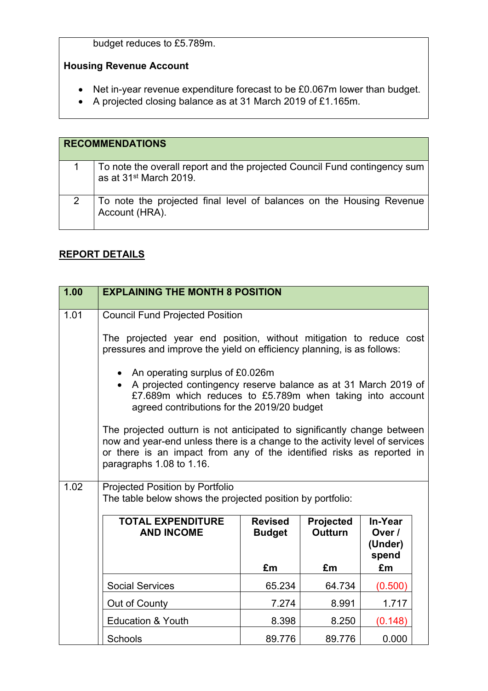budget reduces to £5.789m.

## **Housing Revenue Account**

- Net in-year revenue expenditure forecast to be £0.067m lower than budget.
- A projected closing balance as at 31 March 2019 of £1.165m.

| <b>RECOMMENDATIONS</b>                                                                                          |
|-----------------------------------------------------------------------------------------------------------------|
| To note the overall report and the projected Council Fund contingency sum<br>as at 31 <sup>st</sup> March 2019. |
| To note the projected final level of balances on the Housing Revenue<br>Account (HRA).                          |

## **REPORT DETAILS**

| 1.00 | <b>EXPLAINING THE MONTH 8 POSITION</b>                                                                                                                                                                                                                       |                                 |                             |                                       |  |
|------|--------------------------------------------------------------------------------------------------------------------------------------------------------------------------------------------------------------------------------------------------------------|---------------------------------|-----------------------------|---------------------------------------|--|
| 1.01 | <b>Council Fund Projected Position</b>                                                                                                                                                                                                                       |                                 |                             |                                       |  |
|      | The projected year end position, without mitigation to reduce cost<br>pressures and improve the yield on efficiency planning, is as follows:                                                                                                                 |                                 |                             |                                       |  |
|      | An operating surplus of £0.026m<br>A projected contingency reserve balance as at 31 March 2019 of<br>£7.689m which reduces to £5.789m when taking into account<br>agreed contributions for the 2019/20 budget                                                |                                 |                             |                                       |  |
|      | The projected outturn is not anticipated to significantly change between<br>now and year-end unless there is a change to the activity level of services<br>or there is an impact from any of the identified risks as reported in<br>paragraphs 1.08 to 1.16. |                                 |                             |                                       |  |
| 1.02 | <b>Projected Position by Portfolio</b><br>The table below shows the projected position by portfolio:                                                                                                                                                         |                                 |                             |                                       |  |
|      | <b>TOTAL EXPENDITURE</b><br><b>AND INCOME</b>                                                                                                                                                                                                                | <b>Revised</b><br><b>Budget</b> | Projected<br><b>Outturn</b> | In-Year<br>Over /<br>(Under)<br>spend |  |
|      |                                                                                                                                                                                                                                                              | £m                              | £m                          | £m                                    |  |
|      | <b>Social Services</b>                                                                                                                                                                                                                                       | 65.234                          | 64.734                      | (0.500)                               |  |
|      | Out of County                                                                                                                                                                                                                                                | 7.274                           | 8.991                       | 1.717                                 |  |
|      | <b>Education &amp; Youth</b>                                                                                                                                                                                                                                 | 8.398                           | 8.250                       | (0.148)                               |  |
|      | Schools                                                                                                                                                                                                                                                      | 89.776                          | 89.776                      | 0.000                                 |  |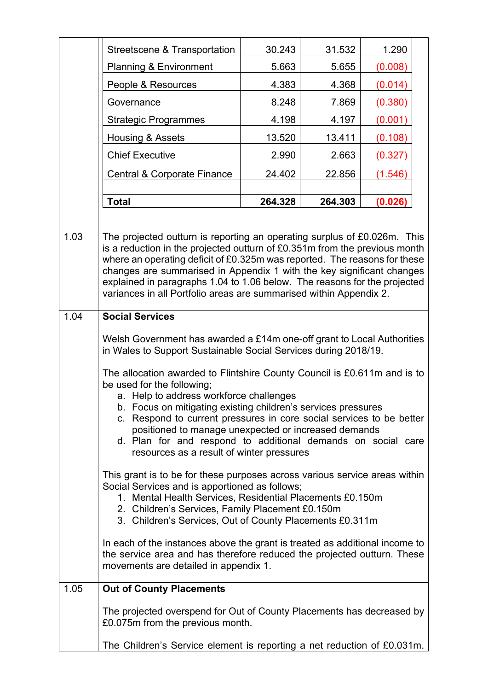|      | Streetscene & Transportation                                                                                                                                                                                                                                                                                                                                                                                                                                    | 30.243  | 31.532  | 1.290   |  |
|------|-----------------------------------------------------------------------------------------------------------------------------------------------------------------------------------------------------------------------------------------------------------------------------------------------------------------------------------------------------------------------------------------------------------------------------------------------------------------|---------|---------|---------|--|
|      | <b>Planning &amp; Environment</b>                                                                                                                                                                                                                                                                                                                                                                                                                               | 5.663   | 5.655   | (0.008) |  |
|      | People & Resources                                                                                                                                                                                                                                                                                                                                                                                                                                              | 4.383   | 4.368   | (0.014) |  |
|      | Governance                                                                                                                                                                                                                                                                                                                                                                                                                                                      | 8.248   | 7.869   | (0.380) |  |
|      | <b>Strategic Programmes</b>                                                                                                                                                                                                                                                                                                                                                                                                                                     | 4.198   | 4.197   | (0.001) |  |
|      | Housing & Assets                                                                                                                                                                                                                                                                                                                                                                                                                                                | 13.520  | 13.411  | (0.108) |  |
|      | <b>Chief Executive</b>                                                                                                                                                                                                                                                                                                                                                                                                                                          | 2.990   | 2.663   | (0.327) |  |
|      | Central & Corporate Finance                                                                                                                                                                                                                                                                                                                                                                                                                                     | 24.402  | 22.856  | (1.546) |  |
|      | <b>Total</b>                                                                                                                                                                                                                                                                                                                                                                                                                                                    | 264.328 | 264.303 | (0.026) |  |
|      |                                                                                                                                                                                                                                                                                                                                                                                                                                                                 |         |         |         |  |
| 1.03 | The projected outturn is reporting an operating surplus of £0.026m. This<br>is a reduction in the projected outturn of £0.351m from the previous month<br>where an operating deficit of £0.325m was reported. The reasons for these<br>changes are summarised in Appendix 1 with the key significant changes<br>explained in paragraphs 1.04 to 1.06 below. The reasons for the projected<br>variances in all Portfolio areas are summarised within Appendix 2. |         |         |         |  |
| 1.04 | <b>Social Services</b>                                                                                                                                                                                                                                                                                                                                                                                                                                          |         |         |         |  |
|      | Welsh Government has awarded a £14m one-off grant to Local Authorities<br>in Wales to Support Sustainable Social Services during 2018/19.                                                                                                                                                                                                                                                                                                                       |         |         |         |  |
|      | The allocation awarded to Flintshire County Council is £0.611m and is to<br>be used for the following;<br>a. Help to address workforce challenges<br>b. Focus on mitigating existing children's services pressures<br>c. Respond to current pressures in core social services to be better<br>positioned to manage unexpected or increased demands<br>d. Plan for and respond to additional demands on social care<br>resources as a result of winter pressures |         |         |         |  |
|      | This grant is to be for these purposes across various service areas within<br>Social Services and is apportioned as follows;<br>1. Mental Health Services, Residential Placements £0.150m<br>2. Children's Services, Family Placement £0.150m<br>3. Children's Services, Out of County Placements £0.311m                                                                                                                                                       |         |         |         |  |
|      | In each of the instances above the grant is treated as additional income to<br>the service area and has therefore reduced the projected outturn. These<br>movements are detailed in appendix 1.                                                                                                                                                                                                                                                                 |         |         |         |  |
| 1.05 | <b>Out of County Placements</b>                                                                                                                                                                                                                                                                                                                                                                                                                                 |         |         |         |  |
|      | The projected overspend for Out of County Placements has decreased by<br>£0.075m from the previous month.                                                                                                                                                                                                                                                                                                                                                       |         |         |         |  |
|      | The Children's Service element is reporting a net reduction of £0.031m.                                                                                                                                                                                                                                                                                                                                                                                         |         |         |         |  |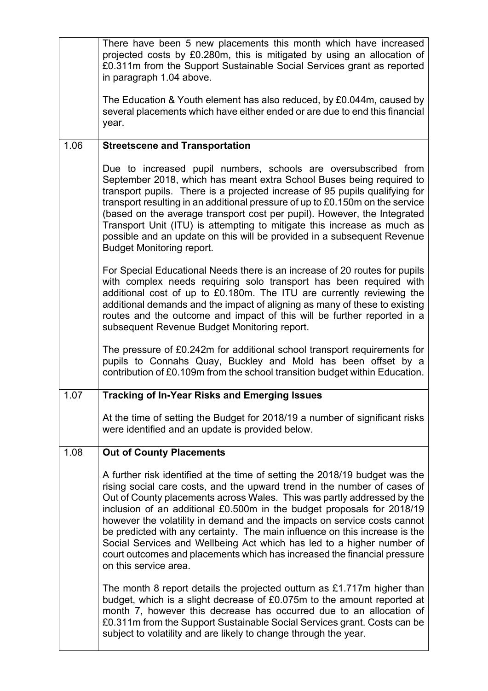|      | There have been 5 new placements this month which have increased<br>projected costs by £0.280m, this is mitigated by using an allocation of<br>£0.311m from the Support Sustainable Social Services grant as reported<br>in paragraph 1.04 above.                                                                                                                                                                                                                                                                                                                                                                                                     |
|------|-------------------------------------------------------------------------------------------------------------------------------------------------------------------------------------------------------------------------------------------------------------------------------------------------------------------------------------------------------------------------------------------------------------------------------------------------------------------------------------------------------------------------------------------------------------------------------------------------------------------------------------------------------|
|      | The Education & Youth element has also reduced, by £0.044m, caused by<br>several placements which have either ended or are due to end this financial<br>year.                                                                                                                                                                                                                                                                                                                                                                                                                                                                                         |
| 1.06 | <b>Streetscene and Transportation</b>                                                                                                                                                                                                                                                                                                                                                                                                                                                                                                                                                                                                                 |
|      | Due to increased pupil numbers, schools are oversubscribed from<br>September 2018, which has meant extra School Buses being required to<br>transport pupils. There is a projected increase of 95 pupils qualifying for<br>transport resulting in an additional pressure of up to £0.150m on the service<br>(based on the average transport cost per pupil). However, the Integrated<br>Transport Unit (ITU) is attempting to mitigate this increase as much as<br>possible and an update on this will be provided in a subsequent Revenue<br><b>Budget Monitoring report.</b>                                                                         |
|      | For Special Educational Needs there is an increase of 20 routes for pupils<br>with complex needs requiring solo transport has been required with<br>additional cost of up to £0.180m. The ITU are currently reviewing the<br>additional demands and the impact of aligning as many of these to existing<br>routes and the outcome and impact of this will be further reported in a<br>subsequent Revenue Budget Monitoring report.                                                                                                                                                                                                                    |
|      | The pressure of £0.242m for additional school transport requirements for<br>pupils to Connahs Quay, Buckley and Mold has been offset by a<br>contribution of £0.109m from the school transition budget within Education.                                                                                                                                                                                                                                                                                                                                                                                                                              |
| 1.07 | <b>Tracking of In-Year Risks and Emerging Issues</b>                                                                                                                                                                                                                                                                                                                                                                                                                                                                                                                                                                                                  |
|      | At the time of setting the Budget for 2018/19 a number of significant risks<br>were identified and an update is provided below.                                                                                                                                                                                                                                                                                                                                                                                                                                                                                                                       |
| 1.08 | <b>Out of County Placements</b>                                                                                                                                                                                                                                                                                                                                                                                                                                                                                                                                                                                                                       |
|      | A further risk identified at the time of setting the 2018/19 budget was the<br>rising social care costs, and the upward trend in the number of cases of<br>Out of County placements across Wales. This was partly addressed by the<br>inclusion of an additional £0.500m in the budget proposals for 2018/19<br>however the volatility in demand and the impacts on service costs cannot<br>be predicted with any certainty. The main influence on this increase is the<br>Social Services and Wellbeing Act which has led to a higher number of<br>court outcomes and placements which has increased the financial pressure<br>on this service area. |
|      | The month 8 report details the projected outturn as £1.717m higher than<br>budget, which is a slight decrease of £0.075m to the amount reported at<br>month 7, however this decrease has occurred due to an allocation of<br>£0.311m from the Support Sustainable Social Services grant. Costs can be<br>subject to volatility and are likely to change through the year.                                                                                                                                                                                                                                                                             |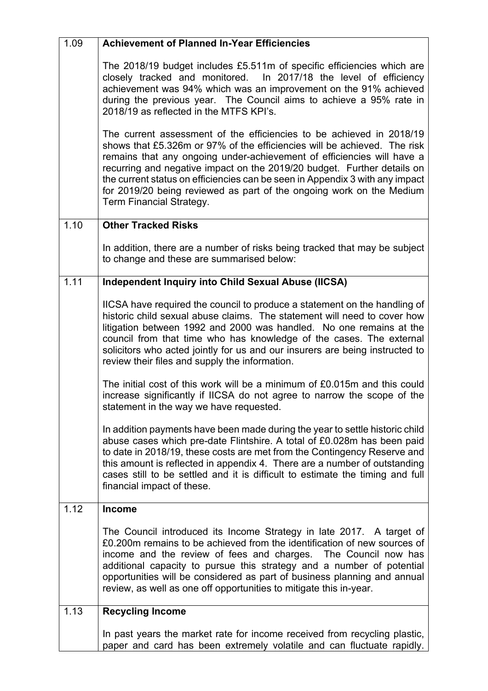| 1.09              | <b>Achievement of Planned In-Year Efficiencies</b>                                                                                                                                                                                                                                                                                                                                                                                                                                        |
|-------------------|-------------------------------------------------------------------------------------------------------------------------------------------------------------------------------------------------------------------------------------------------------------------------------------------------------------------------------------------------------------------------------------------------------------------------------------------------------------------------------------------|
|                   | The 2018/19 budget includes £5.511m of specific efficiencies which are<br>closely tracked and monitored. In 2017/18 the level of efficiency<br>achievement was 94% which was an improvement on the 91% achieved<br>during the previous year. The Council aims to achieve a 95% rate in<br>2018/19 as reflected in the MTFS KPI's.                                                                                                                                                         |
|                   | The current assessment of the efficiencies to be achieved in 2018/19<br>shows that £5.326m or 97% of the efficiencies will be achieved. The risk<br>remains that any ongoing under-achievement of efficiencies will have a<br>recurring and negative impact on the 2019/20 budget. Further details on<br>the current status on efficiencies can be seen in Appendix 3 with any impact<br>for 2019/20 being reviewed as part of the ongoing work on the Medium<br>Term Financial Strategy. |
| $\overline{1.10}$ | <b>Other Tracked Risks</b>                                                                                                                                                                                                                                                                                                                                                                                                                                                                |
|                   | In addition, there are a number of risks being tracked that may be subject<br>to change and these are summarised below:                                                                                                                                                                                                                                                                                                                                                                   |
| 1.11              | <b>Independent Inquiry into Child Sexual Abuse (IICSA)</b>                                                                                                                                                                                                                                                                                                                                                                                                                                |
|                   | IICSA have required the council to produce a statement on the handling of<br>historic child sexual abuse claims. The statement will need to cover how<br>litigation between 1992 and 2000 was handled. No one remains at the<br>council from that time who has knowledge of the cases. The external<br>solicitors who acted jointly for us and our insurers are being instructed to<br>review their files and supply the information.                                                     |
|                   | The initial cost of this work will be a minimum of £0.015m and this could<br>increase significantly if IICSA do not agree to narrow the scope of the<br>statement in the way we have requested.                                                                                                                                                                                                                                                                                           |
|                   | In addition payments have been made during the year to settle historic child<br>abuse cases which pre-date Flintshire. A total of £0.028m has been paid<br>to date in 2018/19, these costs are met from the Contingency Reserve and<br>this amount is reflected in appendix 4. There are a number of outstanding<br>cases still to be settled and it is difficult to estimate the timing and full<br>financial impact of these.                                                           |
| 1.12              | <b>Income</b>                                                                                                                                                                                                                                                                                                                                                                                                                                                                             |
|                   | The Council introduced its Income Strategy in late 2017. A target of<br>£0.200m remains to be achieved from the identification of new sources of<br>income and the review of fees and charges. The Council now has<br>additional capacity to pursue this strategy and a number of potential<br>opportunities will be considered as part of business planning and annual<br>review, as well as one off opportunities to mitigate this in-year.                                             |
| 1.13              | <b>Recycling Income</b>                                                                                                                                                                                                                                                                                                                                                                                                                                                                   |
|                   | In past years the market rate for income received from recycling plastic,<br>paper and card has been extremely volatile and can fluctuate rapidly.                                                                                                                                                                                                                                                                                                                                        |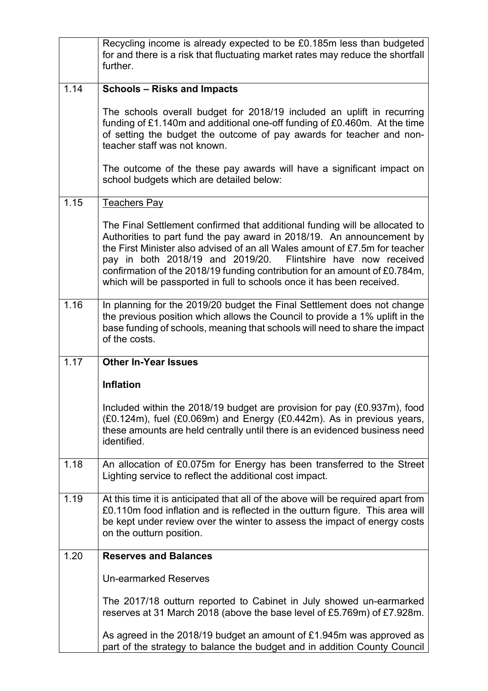|      | Recycling income is already expected to be £0.185m less than budgeted<br>for and there is a risk that fluctuating market rates may reduce the shortfall<br>further.                                                                                                                                                                                                                                                                                          |
|------|--------------------------------------------------------------------------------------------------------------------------------------------------------------------------------------------------------------------------------------------------------------------------------------------------------------------------------------------------------------------------------------------------------------------------------------------------------------|
| 1.14 | <b>Schools - Risks and Impacts</b>                                                                                                                                                                                                                                                                                                                                                                                                                           |
|      | The schools overall budget for 2018/19 included an uplift in recurring<br>funding of £1.140m and additional one-off funding of £0.460m. At the time<br>of setting the budget the outcome of pay awards for teacher and non-<br>teacher staff was not known.                                                                                                                                                                                                  |
|      | The outcome of the these pay awards will have a significant impact on<br>school budgets which are detailed below:                                                                                                                                                                                                                                                                                                                                            |
| 1.15 | <b>Teachers Pay</b>                                                                                                                                                                                                                                                                                                                                                                                                                                          |
|      | The Final Settlement confirmed that additional funding will be allocated to<br>Authorities to part fund the pay award in 2018/19. An announcement by<br>the First Minister also advised of an all Wales amount of £7.5m for teacher<br>pay in both 2018/19 and 2019/20. Flintshire have now received<br>confirmation of the 2018/19 funding contribution for an amount of £0.784m,<br>which will be passported in full to schools once it has been received. |
| 1.16 | In planning for the 2019/20 budget the Final Settlement does not change<br>the previous position which allows the Council to provide a 1% uplift in the<br>base funding of schools, meaning that schools will need to share the impact<br>of the costs.                                                                                                                                                                                                      |
| 1.17 | <b>Other In-Year Issues</b>                                                                                                                                                                                                                                                                                                                                                                                                                                  |
|      | <b>Inflation</b>                                                                                                                                                                                                                                                                                                                                                                                                                                             |
|      | Included within the 2018/19 budget are provision for pay (£0.937m), food<br>(£0.124m), fuel (£0.069m) and Energy (£0.442m). As in previous years,<br>these amounts are held centrally until there is an evidenced business need<br>identified.                                                                                                                                                                                                               |
| 1.18 | An allocation of £0.075m for Energy has been transferred to the Street<br>Lighting service to reflect the additional cost impact.                                                                                                                                                                                                                                                                                                                            |
| 1.19 | At this time it is anticipated that all of the above will be required apart from<br>£0.110m food inflation and is reflected in the outturn figure. This area will<br>be kept under review over the winter to assess the impact of energy costs<br>on the outturn position.                                                                                                                                                                                   |
| 1.20 | <b>Reserves and Balances</b>                                                                                                                                                                                                                                                                                                                                                                                                                                 |
|      | <b>Un-earmarked Reserves</b>                                                                                                                                                                                                                                                                                                                                                                                                                                 |
|      | The 2017/18 outturn reported to Cabinet in July showed un-earmarked<br>reserves at 31 March 2018 (above the base level of £5.769m) of £7.928m.                                                                                                                                                                                                                                                                                                               |
|      | As agreed in the 2018/19 budget an amount of £1.945m was approved as<br>part of the strategy to balance the budget and in addition County Council                                                                                                                                                                                                                                                                                                            |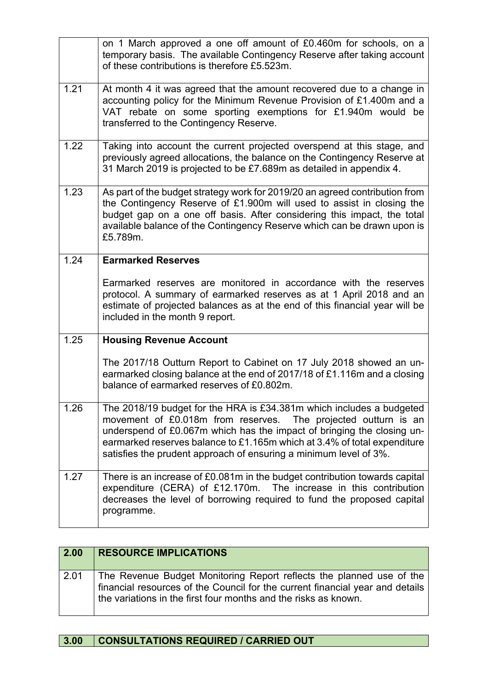|      | on 1 March approved a one off amount of £0.460m for schools, on a<br>temporary basis. The available Contingency Reserve after taking account<br>of these contributions is therefore £5.523m.                                                                                                                                                                      |
|------|-------------------------------------------------------------------------------------------------------------------------------------------------------------------------------------------------------------------------------------------------------------------------------------------------------------------------------------------------------------------|
| 1.21 | At month 4 it was agreed that the amount recovered due to a change in<br>accounting policy for the Minimum Revenue Provision of £1.400m and a<br>VAT rebate on some sporting exemptions for £1.940m would<br>be<br>transferred to the Contingency Reserve.                                                                                                        |
| 1.22 | Taking into account the current projected overspend at this stage, and<br>previously agreed allocations, the balance on the Contingency Reserve at<br>31 March 2019 is projected to be £7.689m as detailed in appendix 4.                                                                                                                                         |
| 1.23 | As part of the budget strategy work for 2019/20 an agreed contribution from<br>the Contingency Reserve of £1.900m will used to assist in closing the<br>budget gap on a one off basis. After considering this impact, the total<br>available balance of the Contingency Reserve which can be drawn upon is<br>£5.789m.                                            |
| 1.24 | <b>Earmarked Reserves</b>                                                                                                                                                                                                                                                                                                                                         |
|      | Earmarked reserves are monitored in accordance with the reserves<br>protocol. A summary of earmarked reserves as at 1 April 2018 and an<br>estimate of projected balances as at the end of this financial year will be<br>included in the month 9 report.                                                                                                         |
| 1.25 | <b>Housing Revenue Account</b>                                                                                                                                                                                                                                                                                                                                    |
|      | The 2017/18 Outturn Report to Cabinet on 17 July 2018 showed an un-<br>earmarked closing balance at the end of 2017/18 of £1.116m and a closing<br>balance of earmarked reserves of £0.802m.                                                                                                                                                                      |
| 1.26 | The 2018/19 budget for the HRA is £34.381m which includes a budgeted<br>movement of £0.018m from reserves. The projected outturn is an<br>underspend of £0.067m which has the impact of bringing the closing un-<br>earmarked reserves balance to £1.165m which at 3.4% of total expenditure<br>satisfies the prudent approach of ensuring a minimum level of 3%. |
| 1.27 | There is an increase of £0.081m in the budget contribution towards capital<br>expenditure (CERA) of £12.170m. The increase in this contribution<br>decreases the level of borrowing required to fund the proposed capital<br>programme.                                                                                                                           |

| 2.00 | <b>RESOURCE IMPLICATIONS</b>                                                                                                                                                                                             |
|------|--------------------------------------------------------------------------------------------------------------------------------------------------------------------------------------------------------------------------|
| 2.01 | The Revenue Budget Monitoring Report reflects the planned use of the<br>financial resources of the Council for the current financial year and details<br>the variations in the first four months and the risks as known. |

# **3.00 CONSULTATIONS REQUIRED / CARRIED OUT**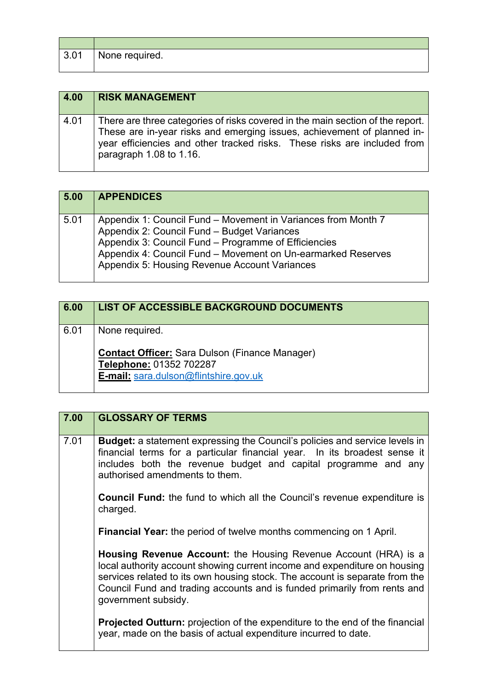| 3.01 | None required. |  |  |
|------|----------------|--|--|

 $\blacksquare$ 

| 4.00 | <b>RISK MANAGEMENT</b>                                                                                                                                                                                                                                           |
|------|------------------------------------------------------------------------------------------------------------------------------------------------------------------------------------------------------------------------------------------------------------------|
| 4.01 | There are three categories of risks covered in the main section of the report.<br>These are in-year risks and emerging issues, achievement of planned in-<br>year efficiencies and other tracked risks. These risks are included from<br>paragraph 1.08 to 1.16. |

| 5.00 | <b>APPENDICES</b>                                                                                                                                                                                                                                                                     |
|------|---------------------------------------------------------------------------------------------------------------------------------------------------------------------------------------------------------------------------------------------------------------------------------------|
| 5.01 | Appendix 1: Council Fund – Movement in Variances from Month 7<br>Appendix 2: Council Fund - Budget Variances<br>Appendix 3: Council Fund – Programme of Efficiencies<br>Appendix 4: Council Fund - Movement on Un-earmarked Reserves<br>Appendix 5: Housing Revenue Account Variances |

| 6.00 | <b>LIST OF ACCESSIBLE BACKGROUND DOCUMENTS</b>                                                                                              |
|------|---------------------------------------------------------------------------------------------------------------------------------------------|
| 6.01 | None required.<br><b>Contact Officer:</b> Sara Dulson (Finance Manager)<br>Telephone: 01352 702287<br>E-mail: sara.dulson@flintshire.gov.uk |

| 7.00 | <b>GLOSSARY OF TERMS</b>                                                                                                                                                                                                                                                                                                              |
|------|---------------------------------------------------------------------------------------------------------------------------------------------------------------------------------------------------------------------------------------------------------------------------------------------------------------------------------------|
| 7.01 | <b>Budget:</b> a statement expressing the Council's policies and service levels in<br>financial terms for a particular financial year. In its broadest sense it<br>includes both the revenue budget and capital programme and any<br>authorised amendments to them.                                                                   |
|      | <b>Council Fund:</b> the fund to which all the Council's revenue expenditure is<br>charged.                                                                                                                                                                                                                                           |
|      | <b>Financial Year:</b> the period of twelve months commencing on 1 April.                                                                                                                                                                                                                                                             |
|      | <b>Housing Revenue Account:</b> the Housing Revenue Account (HRA) is a<br>local authority account showing current income and expenditure on housing<br>services related to its own housing stock. The account is separate from the<br>Council Fund and trading accounts and is funded primarily from rents and<br>government subsidy. |
|      | <b>Projected Outturn:</b> projection of the expenditure to the end of the financial<br>year, made on the basis of actual expenditure incurred to date.                                                                                                                                                                                |